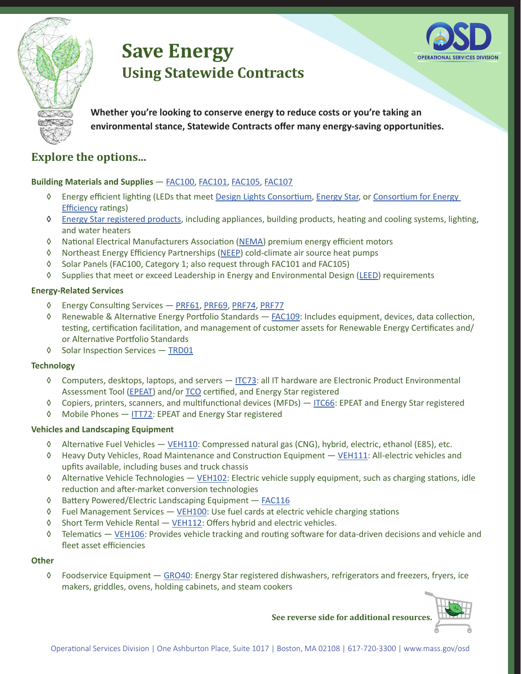



**Whether you're looking to conserve energy to reduce costs or you're taking an environmental stance, Statewide Contracts offer many energy-saving opportunities.** 

# **Explore the options...**

### **Building Materials and Supplies** — [FAC100](https://www.mass.gov/service-details/facilities-maintenance-repair-and-services), [FAC101, FAC105,](https://www.mass.gov/service-details/facilities-maintenance-repair-and-services) [FAC107](https://www.mass.gov/service-details/facilities-maintenance-repair-and-services)

- ◊ Energy efficient lighting (LEDs that meet Design Lights [Consortium](https://www.designlights.org/), [Energy](https://www.energystar.gov/) Star, or [Consortium](https://www.cee1.org/) for Energy [Efficiency](https://www.cee1.org/) ratings)
- ◊ Energy Star [registered](https://www.energystar.gov/products?s=mega) products, including appliances, building products, heating and cooling systems, lighting, and water heaters
- ◊ National Electrical Manufacturers Association ([NEMA](https://www.nema.org/pages/default.aspx)) premium energy efficient motors
- ◊ Northeast Energy Efficiency Partnerships [\(NEEP\)](https://neep.org/) cold-climate air source heat pumps
- ◊ Solar Panels (FAC100, Category 1; also request through FAC101 and FAC105)
- ◊ Supplies that meet or exceed Leadership in Energy and Environmental Design [\(LEED\)](https://www.usgbc.org/leed) requirements

#### **Energy-Related Services**

- ◊ Energy Consulting Services [PRF61](https://www.mass.gov/doc/prf61/download), [PRF69](https://www.mass.gov/doc/prf69/download), [PRF74](https://www.mass.gov/doc/prf74-energy-climate-action-and-facility-advisory-services/download), [PRF77](https://www.mass.gov/service-details/professional-services)
- ◊ Renewable & Alternative Energy Portfolio Standards [FAC109:](https://www.mass.gov/service-details/facilities-maintenance-repair-and-services) Includes equipment, devices, data collection, testing, certification facilitation, and management of customer assets for Renewable Energy Certificates and/ or Alternative Portfolio Standards
- ◊ Solar Inspection Services [TRD01](https://www.mass.gov/service-details/tradesperson-services)

#### **Technology**

- ◊ Computers, desktops, laptops, and servers [ITC73](https://www.mass.gov/service-details/information-technology-hardware): all IT hardware are Electronic Product Environmental Assessment Tool [\(EPEAT](https://epeat.net/)) and/or [TCO](https://tcocertified.com/) certified, and Energy Star registered
- ◊ Copiers, printers, scanners, and multifunctional devices (MFDs) [ITC66:](https://www.mass.gov/service-details/information-technology-hardware) EPEAT and Energy Star registered
- ◊ Mobile Phones [ITT72](https://www.mass.gov/service-details/information-technology-telecommunications): EPEAT and Energy Star registered

#### **Vehicles and Landscaping Equipment**

- ◊ Alternative Fuel Vehicles [VEH110](https://www.mass.gov/service-details/vehicles-transportation-and-road-maintenance): Compressed natural gas (CNG), hybrid, electric, ethanol (E85), etc.
- ◊ Heavy Duty Vehicles, Road Maintenance and Construction Equipment [VEH111](https://www.mass.gov/doc/veh111/download): All-electric vehicles and upfits available, including buses and truck chassis
- ◊ Alternative Vehicle Technologies [VEH102:](https://www.mass.gov/service-details/vehicles-transportation-and-road-maintenance) Electric vehicle supply equipment, such as charging stations, idle reduction and after-market conversion technologies
- ◊ Battery Powered/Electric Landscaping Equipment [FAC](https://www.mass.gov/service-details/facilities-maintenance-repair-and-services)116
- ◊ Fuel Management Services [VEH100:](https://www.mass.gov/service-details/vehicles-transportation-and-road-maintenance) Use fuel cards at electric vehicle charging stations
- ◊ Short Term Vehicle Rental [VEH112](https://www.mass.gov/service-details/vehicles-transportation-and-road-maintenance): Offers hybrid and electric vehicles.
- ◊ Telematics [VEH106:](https://www.mass.gov/doc/veh106/download) Provides vehicle tracking and routing software for data-driven decisions and vehicle and fleet asset efficiencies

#### **Other**

◊ Foodservice Equipment — [GRO4](https://www.mass.gov/service-details/food-and-groceries)0: Energy Star registered dishwashers, refrigerators and freezers, fryers, ice makers, griddles, ovens, holding cabinets, and steam cookers